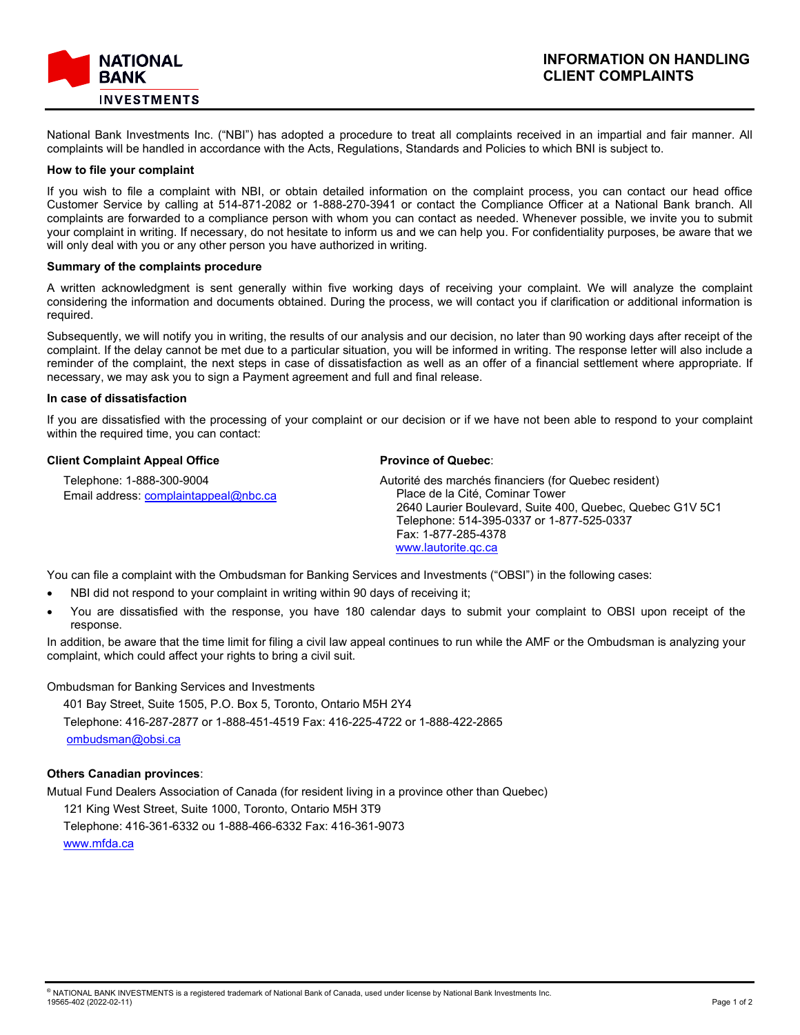

National Bank Investments Inc. ("NBI") has adopted a procedure to treat all complaints received in an impartial and fair manner. All complaints will be handled in accordance with the Acts, Regulations, Standards and Policies to which BNI is subject to.

### **How to file your complaint**

If you wish to file a complaint with NBI, or obtain detailed information on the complaint process, you can contact our head office Customer Service by calling at 514-871-2082 or 1-888-270-3941 or contact the Compliance Officer at a National Bank branch. All complaints are forwarded to a compliance person with whom you can contact as needed. Whenever possible, we invite you to submit your complaint in writing. If necessary, do not hesitate to inform us and we can help you. For confidentiality purposes, be aware that we will only deal with you or any other person you have authorized in writing.

### **Summary of the complaints procedure**

A written acknowledgment is sent generally within five working days of receiving your complaint. We will analyze the complaint considering the information and documents obtained. During the process, we will contact you if clarification or additional information is required.

Subsequently, we will notify you in writing, the results of our analysis and our decision, no later than 90 working days after receipt of the complaint. If the delay cannot be met due to a particular situation, you will be informed in writing. The response letter will also include a reminder of the complaint, the next steps in case of dissatisfaction as well as an offer of a financial settlement where appropriate. If necessary, we may ask you to sign a Payment agreement and full and final release.

### **In case of dissatisfaction**

If you are dissatisfied with the processing of your complaint or our decision or if we have not been able to respond to your complaint within the required time, you can contact:

### **Client Complaint Appeal Office**

 Telephone: 1-888-300-9004 Email address: complaintappeal@nbc.ca

## **Province of Quebec**:

Autorité des marchés financiers (for Quebec resident) Place de la Cité, Cominar Tower 2640 Laurier Boulevard, Suite 400, Quebec, Quebec G1V 5C1 Telephone: 514-395-0337 or 1-877-525-0337 Fax: 1-877-285-4378 [www.lautorite.qc.ca](http://www.lautorite.qc.ca/)

You can file a complaint with the Ombudsman for Banking Services and Investments ("OBSI") in the following cases:

- NBI did not respond to your complaint in writing within 90 days of receiving it;
- You are dissatisfied with the response, you have 180 calendar days to submit your complaint to OBSI upon receipt of the response.

In addition, be aware that the time limit for filing a civil law appeal continues to run while the AMF or the Ombudsman is analyzing your complaint, which could affect your rights to bring a civil suit.

Ombudsman for Banking Services and Investments

 401 Bay Street, Suite 1505, P.O. Box 5, Toronto, Ontario M5H 2Y4 Telephone: 416-287-2877 or 1-888-451-4519 Fax: 416-225-4722 or 1-888-422-2865 [ombudsman@obsi.ca](mailto:ombudsman@obsi.ca)

## **Others Canadian provinces**:

Mutual Fund Dealers Association of Canada (for resident living in a province other than Quebec) 121 King West Street, Suite 1000, Toronto, Ontario M5H 3T9 Telephone: 416-361-6332 ou 1-888-466-6332 Fax: 416-361-9073 [www.mfda.ca](http://www.mfda.ca/)